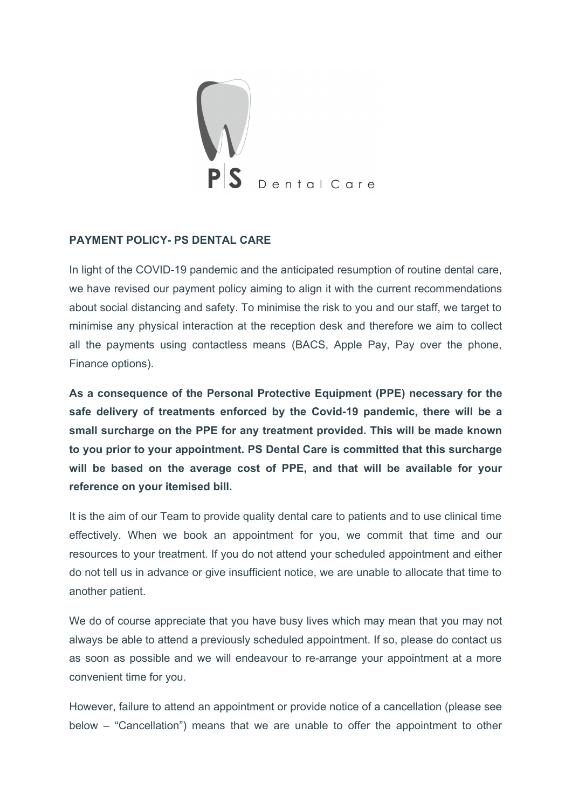

### **PAYMENT POLICY- PS DENTAL CARE**

In light of the COVID-19 pandemic and the anticipated resumption of routine dental care, we have revised our payment policy aiming to align it with the current recommendations about social distancing and safety. To minimise the risk to you and our staff, we target to minimise any physical interaction at the reception desk and therefore we aim to collect all the payments using contactless means (BACS, Apple Pay, Pay over the phone, Finance options).

**As a consequence of the Personal Protective Equipment (PPE) necessary for the safe delivery of treatments enforced by the Covid-19 pandemic, there will be a small surcharge on the PPE for any treatment provided. This will be made known to you prior to your appointment. PS Dental Care is committed that this surcharge will be based on the average cost of PPE, and that will be available for your reference on your itemised bill.**

It is the aim of our Team to provide quality dental care to patients and to use clinical time effectively. When we book an appointment for you, we commit that time and our resources to your treatment. If you do not attend your scheduled appointment and either do not tell us in advance or give insufficient notice, we are unable to allocate that time to another patient.

We do of course appreciate that you have busy lives which may mean that you may not always be able to attend a previously scheduled appointment. If so, please do contact us as soon as possible and we will endeavour to re-arrange your appointment at a more convenient time for you.

However, failure to attend an appointment or provide notice of a cancellation (please see below – "Cancellation") means that we are unable to offer the appointment to other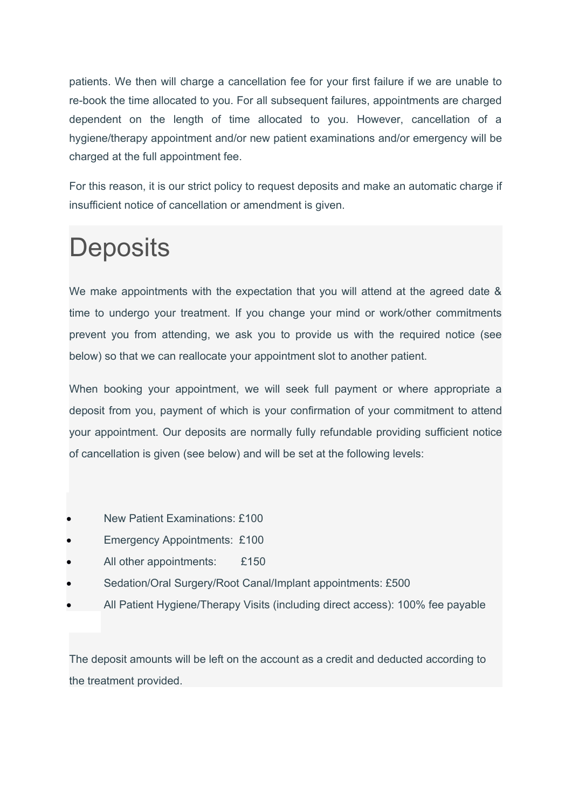patients. We then will charge a cancellation fee for your first failure if we are unable to re-book the time allocated to you. For all subsequent failures, appointments are charged dependent on the length of time allocated to you. However, cancellation of a hygiene/therapy appointment and/or new patient examinations and/or emergency will be charged at the full appointment fee.

For this reason, it is our strict policy to request deposits and make an automatic charge if insufficient notice of cancellation or amendment is given.

# **Deposits**

We make appointments with the expectation that you will attend at the agreed date & time to undergo your treatment. If you change your mind or work/other commitments prevent you from attending, we ask you to provide us with the required notice (see below) so that we can reallocate your appointment slot to another patient.

When booking your appointment, we will seek full payment or where appropriate a deposit from you, payment of which is your confirmation of your commitment to attend your appointment. Our deposits are normally fully refundable providing sufficient notice of cancellation is given (see below) and will be set at the following levels:

- New Patient Examinations: £100
- Emergency Appointments: £100
- All other appointments: £150
- Sedation/Oral Surgery/Root Canal/Implant appointments: £500
- All Patient Hygiene/Therapy Visits (including direct access): 100% fee payable

The deposit amounts will be left on the account as a credit and deducted according to the treatment provided.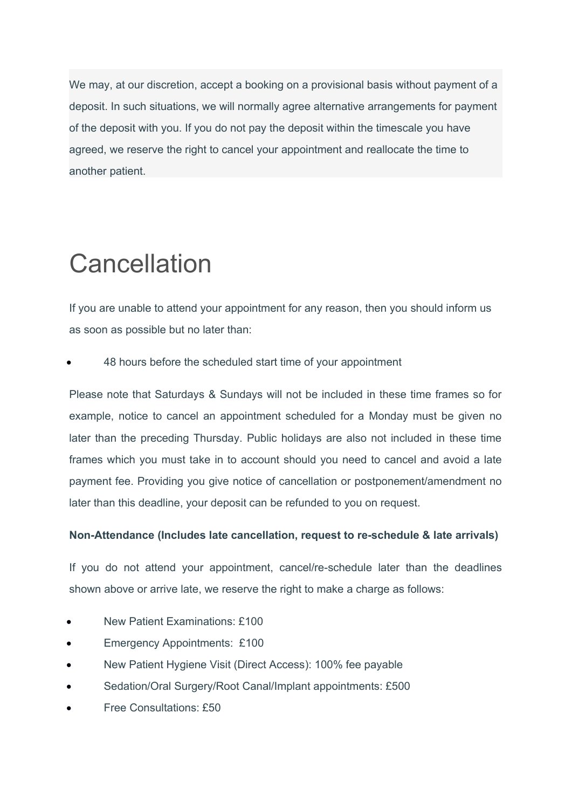We may, at our discretion, accept a booking on a provisional basis without payment of a deposit. In such situations, we will normally agree alternative arrangements for payment of the deposit with you. If you do not pay the deposit within the timescale you have agreed, we reserve the right to cancel your appointment and reallocate the time to another patient.

# **Cancellation**

If you are unable to attend your appointment for any reason, then you should inform us as soon as possible but no later than:

48 hours before the scheduled start time of your appointment

Please note that Saturdays & Sundays will not be included in these time frames so for example, notice to cancel an appointment scheduled for a Monday must be given no later than the preceding Thursday. Public holidays are also not included in these time frames which you must take in to account should you need to cancel and avoid a late payment fee. Providing you give notice of cancellation or postponement/amendment no later than this deadline, your deposit can be refunded to you on request.

### **Non-Attendance (Includes late cancellation, request to re-schedule & late arrivals)**

If you do not attend your appointment, cancel/re-schedule later than the deadlines shown above or arrive late, we reserve the right to make a charge as follows:

- New Patient Examinations: £100
- Emergency Appointments: £100
- New Patient Hygiene Visit (Direct Access): 100% fee payable
- Sedation/Oral Surgery/Root Canal/Implant appointments: £500
- Free Consultations: £50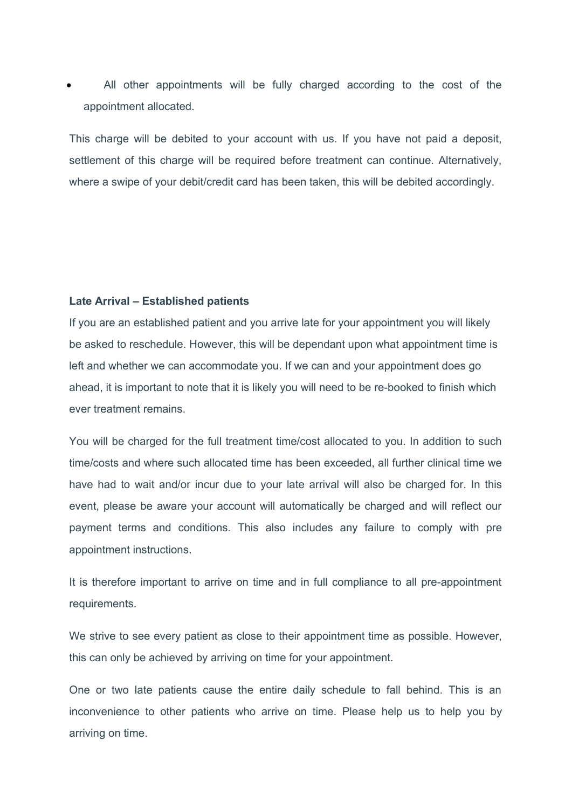All other appointments will be fully charged according to the cost of the appointment allocated.

This charge will be debited to your account with us. If you have not paid a deposit, settlement of this charge will be required before treatment can continue. Alternatively, where a swipe of your debit/credit card has been taken, this will be debited accordingly.

#### **Late Arrival – Established patients**

If you are an established patient and you arrive late for your appointment you will likely be asked to reschedule. However, this will be dependant upon what appointment time is left and whether we can accommodate you. If we can and your appointment does go ahead, it is important to note that it is likely you will need to be re-booked to finish which ever treatment remains.

You will be charged for the full treatment time/cost allocated to you. In addition to such time/costs and where such allocated time has been exceeded, all further clinical time we have had to wait and/or incur due to your late arrival will also be charged for. In this event, please be aware your account will automatically be charged and will reflect our payment terms and conditions. This also includes any failure to comply with pre appointment instructions.

It is therefore important to arrive on time and in full compliance to all pre-appointment requirements.

We strive to see every patient as close to their appointment time as possible. However, this can only be achieved by arriving on time for your appointment.

One or two late patients cause the entire daily schedule to fall behind. This is an inconvenience to other patients who arrive on time. Please help us to help you by arriving on time.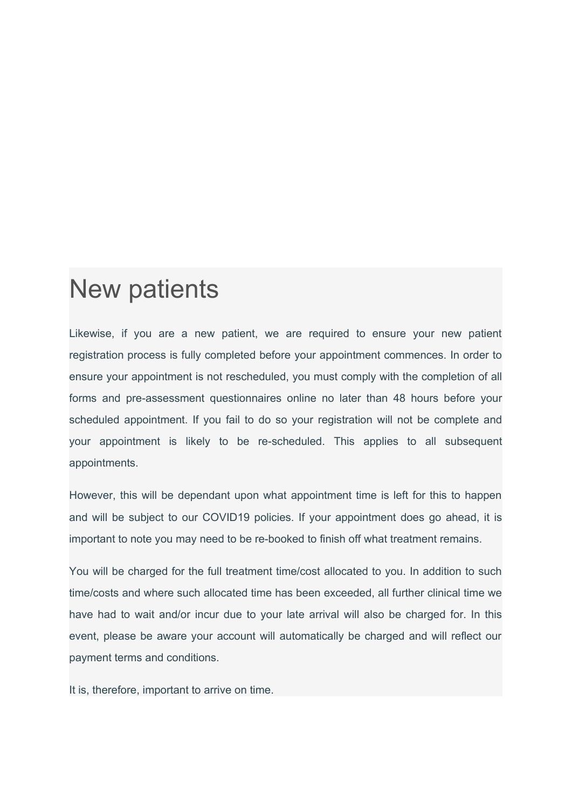### New patients

Likewise, if you are a new patient, we are required to ensure your new patient registration process is fully completed before your appointment commences. In order to ensure your appointment is not rescheduled, you must comply with the completion of all forms and pre-assessment questionnaires online no later than 48 hours before your scheduled appointment. If you fail to do so your registration will not be complete and your appointment is likely to be re-scheduled. This applies to all subsequent appointments.

However, this will be dependant upon what appointment time is left for this to happen and will be subject to our COVID19 policies. If your appointment does go ahead, it is important to note you may need to be re-booked to finish off what treatment remains.

You will be charged for the full treatment time/cost allocated to you. In addition to such time/costs and where such allocated time has been exceeded, all further clinical time we have had to wait and/or incur due to your late arrival will also be charged for. In this event, please be aware your account will automatically be charged and will reflect our payment terms and conditions.

It is, therefore, important to arrive on time.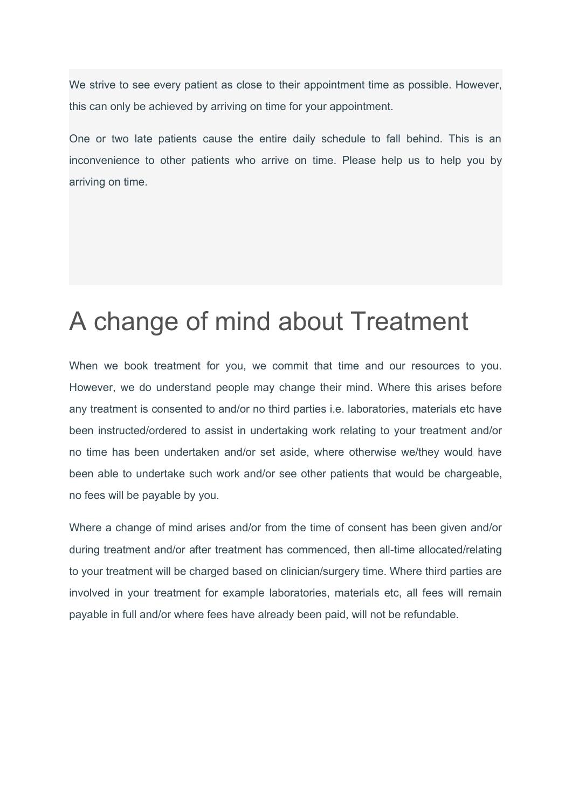We strive to see every patient as close to their appointment time as possible. However, this can only be achieved by arriving on time for your appointment.

One or two late patients cause the entire daily schedule to fall behind. This is an inconvenience to other patients who arrive on time. Please help us to help you by arriving on time.

## A change of mind about Treatment

When we book treatment for you, we commit that time and our resources to you. However, we do understand people may change their mind. Where this arises before any treatment is consented to and/or no third parties i.e. laboratories, materials etc have been instructed/ordered to assist in undertaking work relating to your treatment and/or no time has been undertaken and/or set aside, where otherwise we/they would have been able to undertake such work and/or see other patients that would be chargeable, no fees will be payable by you.

Where a change of mind arises and/or from the time of consent has been given and/or during treatment and/or after treatment has commenced, then all-time allocated/relating to your treatment will be charged based on clinician/surgery time. Where third parties are involved in your treatment for example laboratories, materials etc, all fees will remain payable in full and/or where fees have already been paid, will not be refundable.